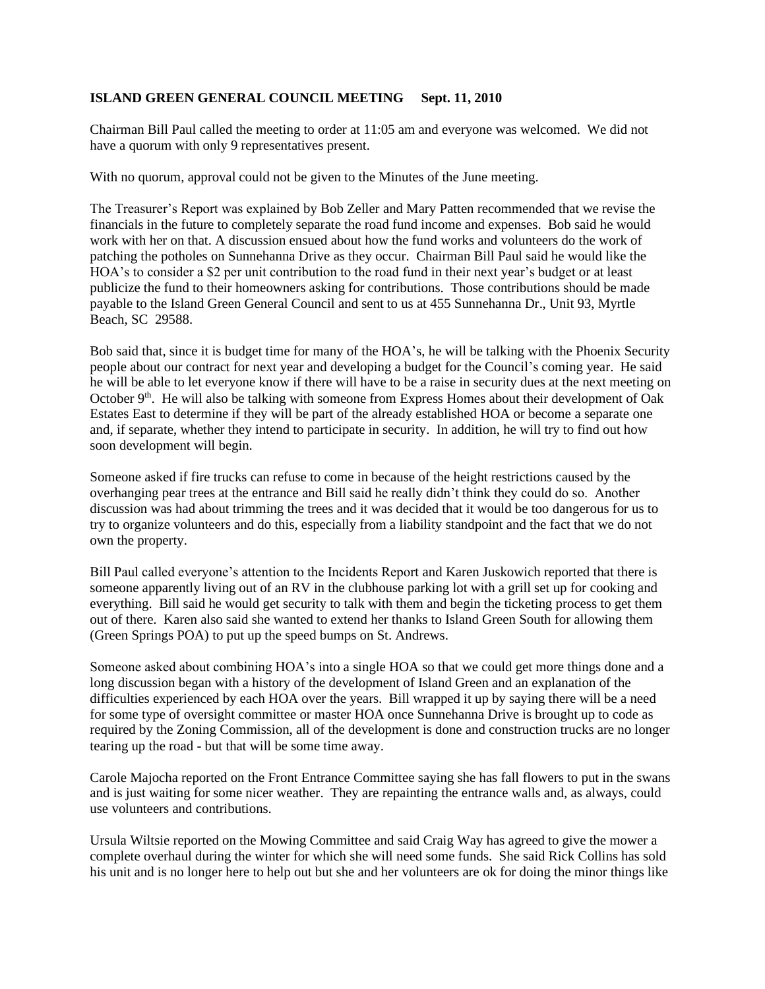## **ISLAND GREEN GENERAL COUNCIL MEETING Sept. 11, 2010**

Chairman Bill Paul called the meeting to order at 11:05 am and everyone was welcomed. We did not have a quorum with only 9 representatives present.

With no quorum, approval could not be given to the Minutes of the June meeting.

The Treasurer's Report was explained by Bob Zeller and Mary Patten recommended that we revise the financials in the future to completely separate the road fund income and expenses. Bob said he would work with her on that. A discussion ensued about how the fund works and volunteers do the work of patching the potholes on Sunnehanna Drive as they occur. Chairman Bill Paul said he would like the HOA's to consider a \$2 per unit contribution to the road fund in their next year's budget or at least publicize the fund to their homeowners asking for contributions. Those contributions should be made payable to the Island Green General Council and sent to us at 455 Sunnehanna Dr., Unit 93, Myrtle Beach, SC 29588.

Bob said that, since it is budget time for many of the HOA's, he will be talking with the Phoenix Security people about our contract for next year and developing a budget for the Council's coming year. He said he will be able to let everyone know if there will have to be a raise in security dues at the next meeting on October 9<sup>th</sup>. He will also be talking with someone from Express Homes about their development of Oak Estates East to determine if they will be part of the already established HOA or become a separate one and, if separate, whether they intend to participate in security. In addition, he will try to find out how soon development will begin.

Someone asked if fire trucks can refuse to come in because of the height restrictions caused by the overhanging pear trees at the entrance and Bill said he really didn't think they could do so. Another discussion was had about trimming the trees and it was decided that it would be too dangerous for us to try to organize volunteers and do this, especially from a liability standpoint and the fact that we do not own the property.

Bill Paul called everyone's attention to the Incidents Report and Karen Juskowich reported that there is someone apparently living out of an RV in the clubhouse parking lot with a grill set up for cooking and everything. Bill said he would get security to talk with them and begin the ticketing process to get them out of there. Karen also said she wanted to extend her thanks to Island Green South for allowing them (Green Springs POA) to put up the speed bumps on St. Andrews.

Someone asked about combining HOA's into a single HOA so that we could get more things done and a long discussion began with a history of the development of Island Green and an explanation of the difficulties experienced by each HOA over the years. Bill wrapped it up by saying there will be a need for some type of oversight committee or master HOA once Sunnehanna Drive is brought up to code as required by the Zoning Commission, all of the development is done and construction trucks are no longer tearing up the road - but that will be some time away.

Carole Majocha reported on the Front Entrance Committee saying she has fall flowers to put in the swans and is just waiting for some nicer weather. They are repainting the entrance walls and, as always, could use volunteers and contributions.

Ursula Wiltsie reported on the Mowing Committee and said Craig Way has agreed to give the mower a complete overhaul during the winter for which she will need some funds. She said Rick Collins has sold his unit and is no longer here to help out but she and her volunteers are ok for doing the minor things like